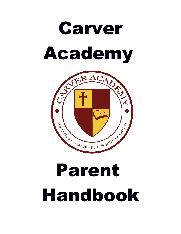



# Parent Handbook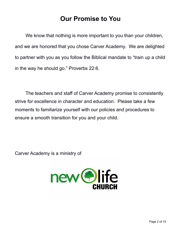# **Our Promise to You**

We know that nothing is more important to you than your children, and we are honored that you chose Carver Academy. We are delighted to partner with you as you follow the Biblical mandate to "train up a child in the way he should go." Proverbs 22:6.

The teachers and staff of Carver Academy promise to consistently strive for excellence in character and education. Please take a few moments to familiarize yourself with our policies and procedures to ensure a smooth transition for you and your child.

Carver Academy is a ministry of

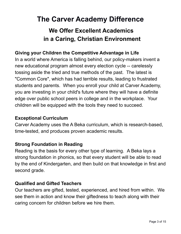# **The Carver Academy Difference**

# **We Offer Excellent Academics in a Caring, Christian Environment**

#### **Giving your Children the Competitive Advantage in Life**

In a world where America is falling behind, our policy-makers invent a new educational program almost every election cycle -- carelessly tossing aside the tried and true methods of the past. The latest is "Common Core", which has had terrible results, leading to frustrated students and parents. When you enroll your child at Carver Academy, you are investing in your child's future where they will have a definite edge over public school peers in college and in the workplace. Your children will be equipped with the tools they need to succeed.

#### **Exceptional Curriculum**

Carver Academy uses the A Beka curriculum, which is research-based, time-tested, and produces proven academic results.

#### **Strong Foundation in Reading**

Reading is the basis for every other type of learning. A Beka lays a strong foundation in phonics, so that every student will be able to read by the end of Kindergarten, and then build on that knowledge in first and second grade.

#### **Qualified and Gifted Teachers**

Our teachers are gifted, tested, experienced, and hired from within. We see them in action and know their giftedness to teach along with their caring concern for children before we hire them.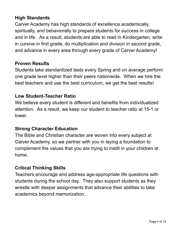#### **High Standards**

Carver Academy has high standards of excellence academically, spiritually, and behaviorally to prepare students for success in college and in life. As a result, students are able to read in Kindergarten, write in cursive in first grade, do multiplication and division in second grade, and advance in every area through every grade of Carver Academy!

#### **Proven Results**

Students take standardized tests every Spring and on average perform one grade level higher than their peers nationwide. When we hire the best teachers and use the best curriculum, we get the best results!

#### **Low Student-Teacher Ratio**

We believe every student is different and benefits from individualized attention. As a result, we keep our student to teacher ratio at 15-1 or lower.

#### **Strong Character Education**

The Bible and Christian character are woven into every subject at Carver Academy, so we partner with you in laying a foundation to complement the values that you are trying to instill in your children at home.

#### **Critical Thinking Skills**

Teachers encourage and address age-appropriate life questions with students during the school day. They also support students as they wrestle with deeper assignments that advance their abilities to take academics beyond memorization.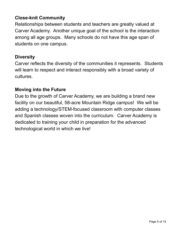#### **Close-knit Community**

Relationships between students and teachers are greatly valued at Carver Academy. Another unique goal of the school is the interaction among all age groups. Many schools do not have this age span of students on one campus.

#### **Diversity**

Carver reflects the diversity of the communities it represents. Students will learn to respect and interact responsibly with a broad variety of cultures.

#### **Moving into the Future**

Due to the growth of Carver Academy, we are building a brand new facility on our beautiful, 58-acre Mountain Ridge campus! We will be adding a technology/STEM-focused classroom with computer classes and Spanish classes woven into the curriculum. Carver Academy is dedicated to training your child in preparation for the advanced technological world in which we live!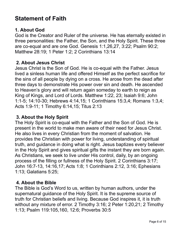# **Statement of Faith**

#### **1. About God**

God is the Creator and Ruler of the universe. He has eternally existed in three personalities: the Father, the Son, and the Holy Spirit. These three are co-equal and are one God. Genesis 1:1,26,27, 3:22; Psalm 90:2; Matthew 28:19; 1 Peter 1:2; 2 Corinthians 13:14

#### **2. About Jesus Christ**

Jesus Christ is the Son of God. He is co-equal with the Father. Jesus lived a sinless human life and offered Himself as the perfect sacrifice for the sins of all people by dying on a cross. He arose from the dead after three days to demonstrate His power over sin and death. He ascended to Heaven's glory and will return again someday to earth to reign as King of Kings, and Lord of Lords. Matthew 1:22, 23; Isaiah 9:6; John 1:1-5; 14:10-30; Hebrews 4:14,15; 1 Corinthians 15:3,4; Romans 1:3,4; Acts 1:9-11; 1 Timothy 6:14,15; Titus 2:13

#### **3. About the Holy Spirit**

The Holy Spirit is co-equal with the Father and the Son of God. He is present in the world to make men aware of their need for Jesus Christ. He also lives in every Christian from the moment of salvation. He provides the Christian with power for living, understanding of spiritual truth, and guidance in doing what is right. Jesus baptizes every believer in the Holy Spirit and gives spiritual gifts the instant they are born again. As Christians, we seek to live under His control, daily, by an ongoing process of the filling or fullness of the Holy Spirit. 2 Corinthians 3:17; John 16:7-13, 14:16,17; Acts 1:8; 1 Corinthians 2:12, 3:16; Ephesians 1:13; Galatians 5:25;

#### **4. About the Bible**

The Bible is God's Word to us, written by human authors, under the supernatural guidance of the Holy Spirit. It is the supreme source of truth for Christian beliefs and living. Because God inspires it, it is truth without any mixture of error. 2 Timothy 3:16; 2 Peter 1:20,21; 2 Timothy 1:13; Psalm 119:105,160, 12:6; Proverbs 30:5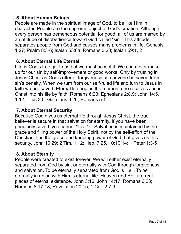#### **5. About Human Beings**

People are made in the spiritual image of God, to be like Him in character. People are the supreme object of God's creation. Although every person has tremendous potential for good, all of us are marred by an attitude of disobedience toward God called "sin". This attitude separates people from God and causes many problems in life. Genesis 1:27; Psalm 8:3-6; Isaiah 53:6a; Romans 3:23; Isaiah 59:1, 2

#### **6. About Eternal Life Eternal**

Life is God's free gift to us but we must accept it. We can never make up for our sin by self-improvement or good works. Only by trusting in Jesus Christ as God's offer of forgiveness can anyone be saved from sin's penalty. When we turn from our self-ruled life and turn to Jesus in faith we are saved. Eternal life begins the moment one receives Jesus Christ into his life by faith. Romans 6:23; Ephesians 2:8,9; John 14:6, 1:12; Titus 3:5; Galatians 3:26; Romans 5:1

#### **7. About Eternal Security**

Because God gives us eternal life through Jesus Christ, the true believer is secure in that salvation for eternity. If you have been genuinely saved, you cannot "lose" it. Salvation is maintained by the grace and filling power of the Holy Spirit, not by the self-effort of the Christian. It is the grace and keeping power of God that gives us this security. John 10:29; 2 Tim. 1:12; Heb. 7:25, 10:10,14; 1 Peter 1:3-5

#### **8. About Eternity**

People were created to exist forever. We will either exist eternally separated from God by sin, or eternally with God through forgiveness and salvation. To be eternally separated from God is Hell. To be eternally in union with Him is eternal life. Heaven and Hell are real places of eternal existence. John 3:16; John 14:17; Romans 6:23; Romans 8:17-18; Revelation 20:15, 1 Cor. 2:7-9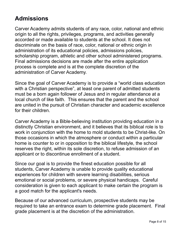# **Admissions**

Carver Academy admits students of any race, color, national and ethnic origin to all the rights, privileges, programs, and activities generally accorded or made available to students at the school. It does not discriminate on the basis of race, color, national or ethnic origin in administration of its educational policies, admissions policies, scholarship program, athletic and other school administered programs. Final admissions decisions are made after the entire application process is complete and is at the complete discretion of the administration of Carver Academy.

Since the goal of Carver Academy is to provide a "world class education with a Christian perspective", at least one parent of admitted students must be a born again follower of Jesus and in regular attendance at a local church of like faith. This ensures that the parent and the school are united in the pursuit of Christian character and academic excellence for their children.

Carver Academy is a Bible-believing institution providing education in a distinctly Christian environment, and it believes that its biblical role is to work in conjunction with the home to mold students to be Christ-like. On those occasions in which the atmosphere or conduct within a particular home is counter to or in opposition to the biblical lifestyle, the school reserves the right, within its sole discretion, to refuse admission of an applicant or to discontinue enrollment of a student.

Since our goal is to provide the finest education possible for all students, Carver Academy is unable to provide quality educational experiences for children with severe learning disabilities, serious emotional or social problems, or severe physical handicaps. Careful consideration is given to each applicant to make certain the program is a good match for the applicant's needs.

Because of our advanced curriculum, prospective students may be required to take an entrance exam to determine grade placement. Final grade placement is at the discretion of the administration.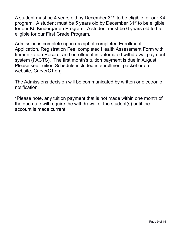A student must be 4 years old by December 31<sup>st</sup> to be eligible for our K4 program. A student must be 5 years old by December  $31<sup>st</sup>$  to be eligible for our K5 Kindergarten Program. A student must be 6 years old to be eligible for our First Grade Program.

Admission is complete upon receipt of completed Enrollment Application, Registration Fee, completed Health Assessment Form with Immunization Record, and enrollment in automated withdrawal payment system (FACTS). The first month's tuition payment is due in August. Please see Tuition Schedule included in enrollment packet or on website, CarverCT.org.

The Admissions decision will be communicated by written or electronic notification.

\*Please note, any tuition payment that is not made within one month of the due date will require the withdrawal of the student(s) until the account is made current.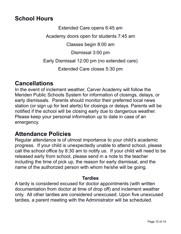## **School Hours**

Extended Care opens 6:45 am

Academy doors open for students 7:45 am

Classes begin 8:00 am

Dismissal 3:00 pm

Early Dismissal 12:00 pm (no extended care)

Extended Care closes 5:30 pm

### **Cancellations**

In the event of inclement weather, Carver Academy will follow the Meriden Public Schools System for information of closings, delays, or early dismissals. Parents should monitor their preferred local news station (or sign up for text alerts) for closings or delays. Parents will be notified if the school will be closing early due to dangerous weather. Please keep your personal information up to date in case of an emergency.

## **Attendance Policies**

Regular attendance is of utmost importance to your child's academic progress. If your child is unexpectedly unable to attend school, please call the school office by 8:30 am to notify us. If your child will need to be released early from school, please send in a note to the teacher including the time of pick up, the reason for early dismissal, and the name of the authorized person with whom he/she will be going.

#### **Tardies**

A tardy is considered excused for doctor appointments (with written documentation from doctor at time of drop off) and inclement weather only. All other tardies are considered unexcused. Upon five unexcused tardies, a parent meeting with the Administrator will be scheduled.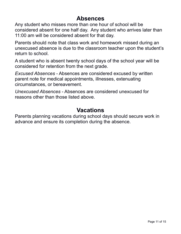## **Absences**

Any student who misses more than one hour of school will be considered absent for one half day. Any student who arrives later than 11:00 am will be considered absent for that day.

Parents should note that class work and homework missed during an unexcused absence is due to the classroom teacher upon the student's return to school.

A student who is absent twenty school days of the school year will be considered for retention from the next grade.

*Excused Absences* - Absences are considered excused by written parent note for medical appointments, illnesses, extenuating circumstances, or bereavement.

*Unexcused Absences* - Absences are considered unexcused for reasons other than those listed above.

## **Vacations**

Parents planning vacations during school days should secure work in advance and ensure its completion during the absence.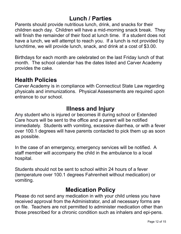# **Lunch / Parties**

Parents should provide nutritious lunch, drink, and snacks for their children each day. Children will have a mid-morning snack break. They will finish the remainder of their food at lunch time. If a student does not have a lunch, we will attempt to reach you. If a lunch is not provided by lunchtime, we will provide lunch, snack, and drink at a cost of \$3.00.

Birthdays for each month are celebrated on the last Friday lunch of that month. The school calendar has the dates listed and Carver Academy provides the cake.

## **Health Policies**

Carver Academy is in compliance with Connecticut State Law regarding physicals and immunizations. Physical Assessments are required upon entrance to our school.

## **Illness and Injury**

Any student who is injured or becomes ill during school or Extended Care hours will be sent to the office and a parent will be notified immediately. Students with vomiting, excessive diarrhea, or with a fever over 100.1 degrees will have parents contacted to pick them up as soon as possible.

In the case of an emergency, emergency services will be notified. A staff member will accompany the child in the ambulance to a local hospital.

Students should not be sent to school within 24 hours of a fever (temperature over 100.1 degrees Fahrenheit without medication) or vomiting.

## **Medication Policy**

Please do not send any medication in with your child unless you have received approval from the Administrator, and all necessary forms are on file. Teachers are not permitted to administer medication other than those prescribed for a chronic condition such as inhalers and epi-pens.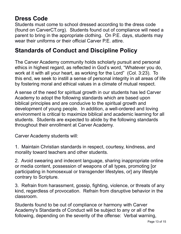# **Dress Code**

Students must come to school dressed according to the dress code (found on CarverCT.org). Students found out of compliance will need a parent to bring in the appropriate clothing. On P.E. days, students may wear their uniforms or their official Carver P.E. attire.

# **Standards of Conduct and Discipline Policy**

The Carver Academy community holds scholarly pursuit and personal ethics in highest regard, as reflected in God's word, "Whatever you do, work at it with all your heart, as working for the Lord" (Col. 3:23). To this end, we seek to instill a sense of personal integrity in all areas of life by fostering moral and ethical values in a climate of mutual respect.

A sense of the need for spiritual growth in our students has led Carver Academy to adopt the following standards which are based upon biblical principles and are conducive to the spiritual growth and development of young people. In addition, a well-ordered and loving environment is critical to maximize biblical and academic learning for all students. Students are expected to abide by the following standards throughout their enrollment at Carver Academy.

Carver Academy students will:

1. Maintain Christian standards in respect, courtesy, kindness, and morality toward teachers and other students.

2. Avoid swearing and indecent language, sharing inappropriate online or media content, possession of weapons of all types, promoting [or participating in homosexual or transgender lifestyles, or] any lifestyle contrary to Scripture.

3. Refrain from harassment, gossip, fighting, violence, or threats of any kind, regardless of provocation. Refrain from disruptive behavior in the classroom.

Students found to be out of compliance or harmony with Carver Academy's Standards of Conduct will be subject to any or all of the following, depending on the severity of the offense: Verbal warning,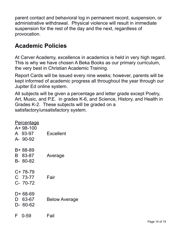parent contact and behavioral log in permanent record, suspension, or administrative withdrawal. Physical violence will result in immediate suspension for the rest of the day and the next, regardless of provocation.

# **Academic Policies**

At Carver Academy, excellence in academics is held in very high regard. This is why we have chosen A Beka Books as our primary curriculum, the very best in Christian Academic Training.

Report Cards will be issued every nine weeks; however, parents will be kept informed of academic progress all throughout the year through our Jupiter Ed online system.

All subjects will be given a percentage and letter grade except Poetry, Art, Music, and P.E. in grades K-6, and Science, History, and Health in Grades K-2. These subjects will be graded on a satisfactory/unsatisfactory system.

| <u>Percentage</u> |                      |
|-------------------|----------------------|
| A+ 98-100         |                      |
| A 93-97           | <b>Excellent</b>     |
| A- 90-92          |                      |
| B+ 88-89          |                      |
| B 83-87           | Average              |
| B-80-82           |                      |
| C+78-79           |                      |
| C 73-77           | Fair                 |
| C- 70-72          |                      |
| D+ 68-69          |                      |
| D 63-67           | <b>Below Average</b> |
| $D-60-62$         |                      |
| F 0-59            | Fail                 |
|                   |                      |